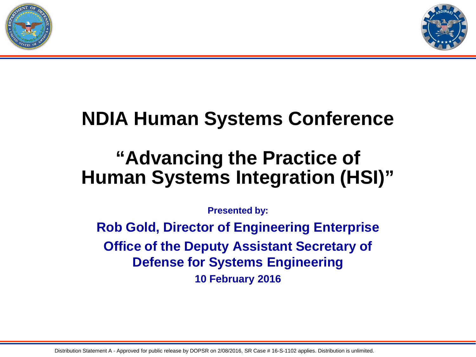



## **NDIA Human Systems Conference**

### **"Advancing the Practice of Human Systems Integration (HSI)"**

**Presented by:**

**Rob Gold, Director of Engineering Enterprise Office of the Deputy Assistant Secretary of Defense for Systems Engineering 10 February 2016**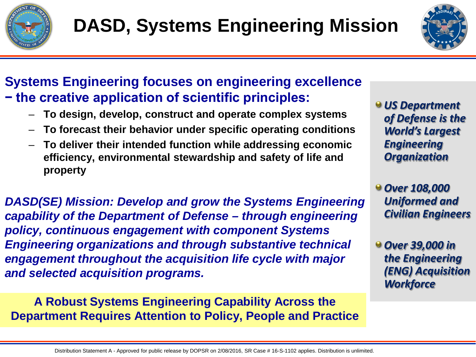



### **Systems Engineering focuses on engineering excellence − the creative application of scientific principles:**

- **To design, develop, construct and operate complex systems**
- **To forecast their behavior under specific operating conditions**
- **To deliver their intended function while addressing economic efficiency, environmental stewardship and safety of life and property**

*DASD(SE) Mission: Develop and grow the Systems Engineering capability of the Department of Defense – through engineering policy, continuous engagement with component Systems Engineering organizations and through substantive technical engagement throughout the acquisition life cycle with major and selected acquisition programs.*

**A Robust Systems Engineering Capability Across the Department Requires Attention to Policy, People and Practice**  *US Department of Defense is the World's Largest Engineering Organization*

*Over 108,000 Uniformed and Civilian Engineers*

*Over 39,000 in the Engineering (ENG) Acquisition Workforce*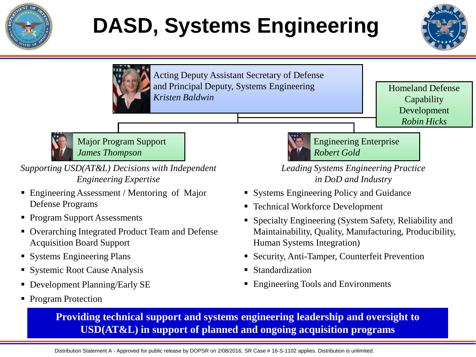

# **DASD, Systems Engineering**





Acting Deputy Assistant Secretary of Defense and Principal Deputy, Systems Engineering *Kristen Baldwin*

Homeland Defense **Capability** Development *Robin Hicks*



Major Program Support *James Thompson*

*Supporting USD(AT&L) Decisions with Independent Engineering Expertise*

- Engineering Assessment / Mentoring of Major Defense Programs
- Program Support Assessments
- Overarching Integrated Product Team and Defense Acquisition Board Support
- **Systems Engineering Plans**
- **Systemic Root Cause Analysis**
- Development Planning/Early SE
- Program Protection



Engineering Enterprise *Robert Gold*

*Leading Systems Engineering Practice in DoD and Industry*

- Systems Engineering Policy and Guidance
- Technical Workforce Development
- Specialty Engineering (System Safety, Reliability and Maintainability, Quality, Manufacturing, Producibility, Human Systems Integration)
- Security, Anti-Tamper, Counterfeit Prevention
- Standardization
- **Engineering Tools and Environments**

**Providing technical support and systems engineering leadership and oversight to USD(AT&L) in support of planned and ongoing acquisition programs**

Distribution Statement A - Approved for public release by DOPSR on 2/08/2016, SR Case # 16-S-1102 applies. Distribution is unlimited.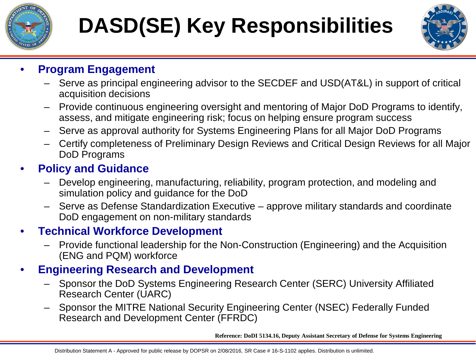

# **DASD(SE) Key Responsibilities**



#### • **Program Engagement**

- Serve as principal engineering advisor to the SECDEF and USD(AT&L) in support of critical acquisition decisions
- Provide continuous engineering oversight and mentoring of Major DoD Programs to identify, assess, and mitigate engineering risk; focus on helping ensure program success
- Serve as approval authority for Systems Engineering Plans for all Major DoD Programs
- Certify completeness of Preliminary Design Reviews and Critical Design Reviews for all Major DoD Programs

#### • **Policy and Guidance**

- Develop engineering, manufacturing, reliability, program protection, and modeling and simulation policy and guidance for the DoD
- Serve as Defense Standardization Executive approve military standards and coordinate DoD engagement on non-military standards

#### • **Technical Workforce Development**

– Provide functional leadership for the Non-Construction (Engineering) and the Acquisition (ENG and PQM) workforce

### • **Engineering Research and Development**

- Sponsor the DoD Systems Engineering Research Center (SERC) University Affiliated Research Center (UARC)
- Sponsor the MITRE National Security Engineering Center (NSEC) Federally Funded Research and Development Center (FFRDC)

**Reference: DoDI 5134.16, Deputy Assistant Secretary of Defense for Systems Engineering**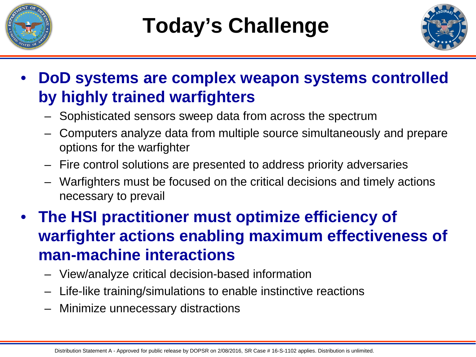



- **DoD systems are complex weapon systems controlled by highly trained warfighters**
	- Sophisticated sensors sweep data from across the spectrum
	- Computers analyze data from multiple source simultaneously and prepare options for the warfighter
	- Fire control solutions are presented to address priority adversaries
	- Warfighters must be focused on the critical decisions and timely actions necessary to prevail
- **The HSI practitioner must optimize efficiency of warfighter actions enabling maximum effectiveness of man-machine interactions**
	- View/analyze critical decision-based information
	- Life-like training/simulations to enable instinctive reactions
	- Minimize unnecessary distractions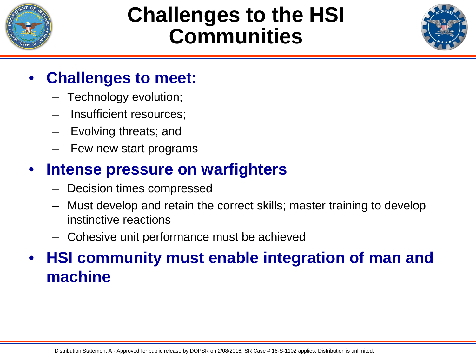

## **Challenges to the HSI Communities**



### • **Challenges to meet:**

- Technology evolution;
- Insufficient resources;
- Evolving threats; and
- Few new start programs

### • **Intense pressure on warfighters**

- Decision times compressed
- Must develop and retain the correct skills; master training to develop instinctive reactions
- Cohesive unit performance must be achieved

### • **HSI community must enable integration of man and machine**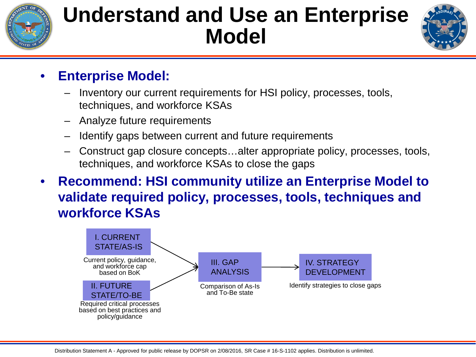

# **Understand and Use an Enterprise Model**



### • **Enterprise Model:**

- Inventory our current requirements for HSI policy, processes, tools, techniques, and workforce KSAs
- Analyze future requirements
- Identify gaps between current and future requirements
- Construct gap closure concepts…alter appropriate policy, processes, tools, techniques, and workforce KSAs to close the gaps
- **Recommend: HSI community utilize an Enterprise Model to validate required policy, processes, tools, techniques and workforce KSAs**